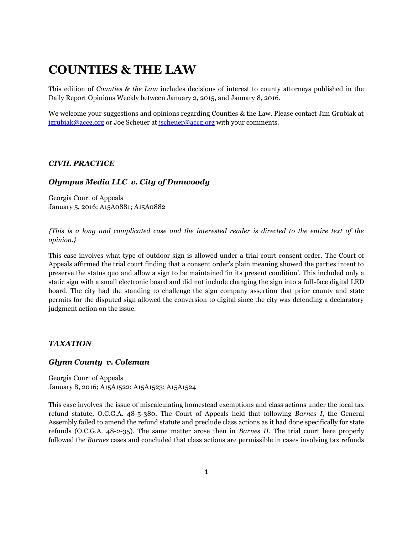# **COUNTIES & THE LAW**

This edition of *Counties & the Law* includes decisions of interest to county attorneys published in the Daily Report Opinions Weekly between January 2, 2015, and January 8, 2016.

We welcome your suggestions and opinions regarding Counties & the Law. Please contact Jim Grubiak at [jgrubiak@accg.org](mailto:jgrubiak@accg.org) or Joe Scheuer at [jscheuer@accg.org](mailto:jscheuer@accg.org) with your comments.

## *CIVIL PRACTICE*

# *Olympus Media LLC v. City of Dunwoody*

Georgia Court of Appeals January 5, 2016; A15A0881; A15A0882

*{This is a long and complicated case and the interested reader is directed to the entire text of the opinion.}*

This case involves what type of outdoor sign is allowed under a trial court consent order. The Court of Appeals affirmed the trial court finding that a consent order's plain meaning showed the parties intent to preserve the status quo and allow a sign to be maintained 'in its present condition'. This included only a static sign with a small electronic board and did not include changing the sign into a full-face digital LED board. The city had the standing to challenge the sign company assertion that prior county and state permits for the disputed sign allowed the conversion to digital since the city was defending a declaratory judgment action on the issue.

## *TAXATION*

#### *Glynn County v. Coleman*

Georgia Court of Appeals January 8, 2016; A15A1522; A15A1523; A15A1524

This case involves the issue of miscalculating homestead exemptions and class actions under the local tax refund statute, O.C.G.A. 48-5-380. The Court of Appeals held that following *Barnes I*, the General Assembly failed to amend the refund statute and preclude class actions as it had done specifically for state refunds (O.C.G.A. 48-2-35). The same matter arose then in *Barnes II*. The trial court here properly followed the *Barnes* cases and concluded that class actions are permissible in cases involving tax refunds